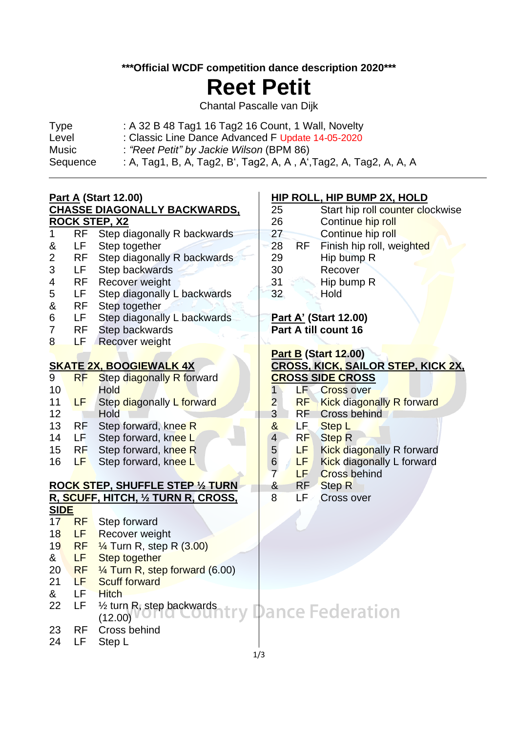**\*\*\*Official WCDF competition dance description 2020\*\*\***

# **Reet Petit**

Chantal Pascalle van Dijk

| <b>Type</b> | : A 32 B 48 Tag1 16 Tag2 16 Count, 1 Wall, Novelty                |
|-------------|-------------------------------------------------------------------|
| Level       | : Classic Line Dance Advanced F Update 14-05-2020                 |
| Music       | : "Reet Petit" by Jackie Wilson (BPM 86)                          |
| Sequence    | : A, Tag1, B, A, Tag2, B', Tag2, A, A, A', Tag2, A, Tag2, A, A, A |

# **Part A (Start 12.00) CHASSE DIAGONALLY BACKWARDS,**

## **ROCK STEP, X2**

 $\overline{\phantom{0}}$ 

- 1 RF Step diagonally R backwards & LF Step together
- 2 RF Step diagonally R backwards
- 3 LF Step backwards
- 4 RF Recover weight
- 5 LF Step diagonally L backwards
- & RF Step together
- 6 LF Step diagonally L backwards
- 7 RF Step backwards
- 8 LF Recover weight

## **SKATE 2X, BOOGIEWALK 4X**

- 9 RF Step diagonally R forward 10 Hold 11 LF Step diagonally L forward 12 Hold 13 RF Step forward, knee R 14 LF Step forward, knee L 15 RF Step forward, knee R
- 16 LF Step forward, knee L

# **ROCK STEP, SHUFFLE STEP ½ TURN R, SCUFF, HITCH, ½ TURN R, CROSS,**

## **SIDE** 17 RF Step forward 18 LF Recover weight 19 RF 1/4 Turn R, step R (3.00) & LF Step together 20 RF ¼ Turn R, step forward (6.00) 21 LF Scuff forward & LF Hitch 22 LF ½ turn R, step backwards (12.00) 23 RF Cross behind 24 LF Step L

## **HIP ROLL, HIP BUMP 2X, HOLD**

- 25 Start hip roll counter clockwise 26 Continue hip roll 27 Continue hip roll 28 RF Finish hip roll, weighted
- 29 Hip bump R
- 30 Recover
- 31 Hip bump R
- 32 Hold

## **Part A' (Start 12.00) Part A till count 16**

# **Part B (Start 12.00) CROSS, KICK, SAILOR STEP, KICK 2X, CROSS SIDE CROSS**

- 1 LF Cross over 2 RF Kick diagonally R forward 3 RF Cross behind & LF Step L
- 4 RF Step R
- 5 **LF** Kick diagonally R forward
- 6 **LF** Kick diagonally L forward
- 7 LF Cross behind
- & RF Step R
- 8 LF Cross over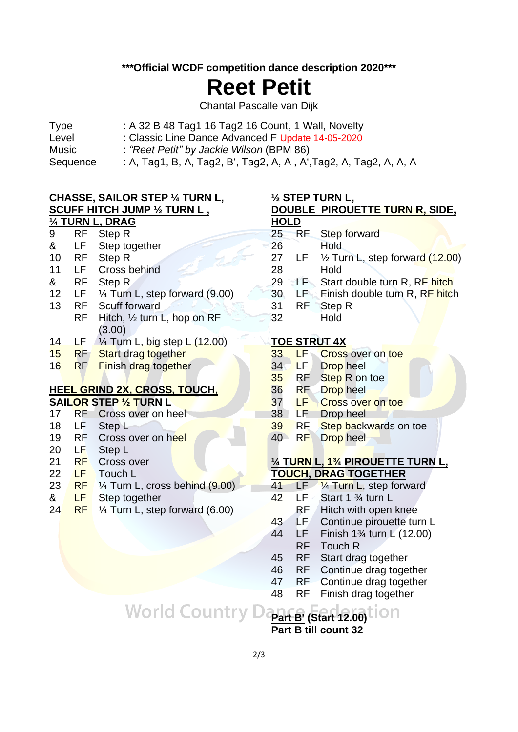### **\*\*\*Official WCDF competition dance description 2020\*\*\***

# **Reet Petit**

Chantal Pascalle van Dijk

| <b>Type</b> | : A 32 B 48 Tag1 16 Tag2 16 Count, 1 Wall, Novelty                |
|-------------|-------------------------------------------------------------------|
| Level       | : Classic Line Dance Advanced F Update 14-05-2020                 |
| Music       | : "Reet Petit" by Jackie Wilson (BPM 86)                          |
| Sequence    | : A, Tag1, B, A, Tag2, B', Tag2, A, A, A', Tag2, A, Tag2, A, A, A |

#### **CHASSE, SAILOR STEP ¼ TURN L, SCUFF HITCH JUMP ½ TURN L , ¼ TURN L, DRAG**

 $\overline{\phantom{0}}$ 

|                                     |           | <u>74 IURN L, DRAG</u>                    |  |
|-------------------------------------|-----------|-------------------------------------------|--|
| 9                                   | RF        | Step R                                    |  |
| &                                   | LF        | Step together                             |  |
| 10                                  | RF        | Step R                                    |  |
| 11                                  | LF.       | Cross behind                              |  |
| &                                   | RF        | Step R                                    |  |
| 12                                  | LF.       | $\frac{1}{4}$ Turn L, step forward (9.00) |  |
| 13                                  | RF        | Scuff forward                             |  |
|                                     | RF        | Hitch, $\frac{1}{2}$ turn L, hop on RF    |  |
|                                     |           | (3.00)                                    |  |
| 14                                  | LF        | $\frac{1}{4}$ Turn L, big step L (12.00)  |  |
| 15                                  | RF        | <b>Start drag together</b>                |  |
| 16                                  | <b>RF</b> | <b>Finish drag together</b>               |  |
|                                     |           |                                           |  |
| <b>HEEL GRIND 2X, CROSS, TOUCH,</b> |           |                                           |  |
|                                     |           | $\overline{ }$                            |  |

# **SAILOR STEP ½ TURN L**

| 17 | <b>RF</b> | Cross over on heel                        |  |  |
|----|-----------|-------------------------------------------|--|--|
| 18 | LF        | Step L                                    |  |  |
| 19 | RF        | Cross over on heel                        |  |  |
| 20 | LF        | Step L                                    |  |  |
| 21 | RF        | Cross over                                |  |  |
| 22 | LF.       | Touch L                                   |  |  |
| 23 | RF I      | $\frac{1}{4}$ Turn L, cross behind (9.00) |  |  |
| &  | LF.       | Step together                             |  |  |
| 24 | RF.       | $\frac{1}{4}$ Turn L, step forward (6.00) |  |  |

#### **½ STEP TURN L, DOUBLE PIROUETTE TURN R, SIDE,**

## **HOLD**

- 25 RF Step forward
- 26 Hold
- 27 LF  $\frac{1}{2}$  Turn L, step forward (12.00) 28 Hold
- 29 LF Start double turn R, RF hitch
- 30 LF Finish double turn R, RF hitch

31 RF Step R

32 Hold

## **TOE STRUT 4X**

| 33 | LF        | <b>Cross over on toe</b> |
|----|-----------|--------------------------|
| 34 | LF.       | Drop heel                |
| 35 | RF.       | Step R on toe            |
| 36 | <b>RF</b> | Drop heel                |
| 37 | LF        | Cross over on toe        |
| 38 | LF        | Drop heel                |
| 39 | <b>RF</b> | Step backwards on toe    |
| 40 | <b>RF</b> | Drop heel                |
|    |           |                          |

## **¼ TURN L, 1¾ PIROUETTE TURN L, TOUCH, DRAG TOGETHER**

- 41 LF  $\frac{1}{4}$  Turn L, step forward
- 42 LF Start 1 % turn L RF Hitch with open knee
- 43 LF Continue pirouette turn L
- 44 LF Finish 1¾ turn L (12.00) RF Touch R
- 45 RF Start drag together
- 46 RF Continue drag together
- 47 RF Continue drag together
- 48 RF Finish drag together

**World Country** lon **Part B' (Start 12.00)**

**Part B till count 32**